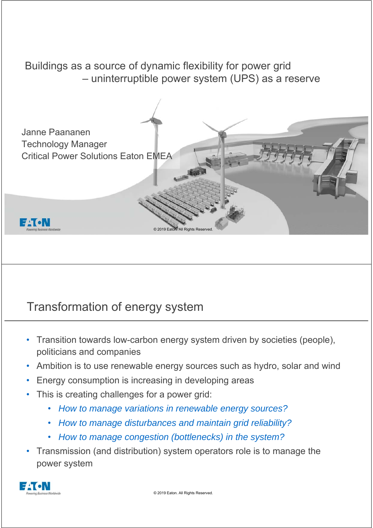Buildings as a source of dynamic flexibility for power grid – uninterruptible power system (UPS) as a reserve



# Transformation of energy system

- Transition towards low-carbon energy system driven by societies (people), politicians and companies
- Ambition is to use renewable energy sources such as hydro, solar and wind
- Energy consumption is increasing in developing areas
- This is creating challenges for a power grid:
	- *How to manage variations in renewable energy sources?*
	- *How to manage disturbances and maintain grid reliability?*
	- *How to manage congestion (bottlenecks) in the system?*
- Transmission (and distribution) system operators role is to manage the power system

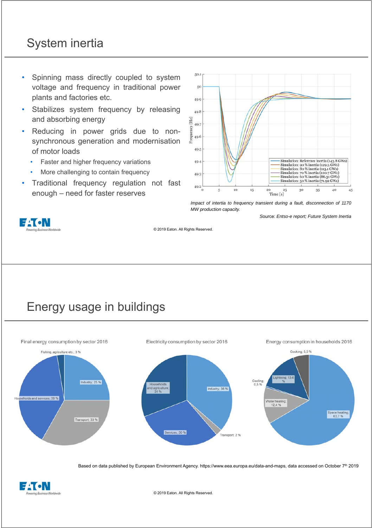# System inertia

- Spinning mass directly coupled to system voltage and frequency in traditional power plants and factories etc.
- Stabilizes system frequency by releasing and absorbing energy
- Reducing in power grids due to nonsynchronous generation and modernisation of motor loads
	- Faster and higher frequency variations
	- More challenging to contain frequency
- Traditional frequency regulation not fast enough – need for faster reserves



*Impact of intertia to frequency transient during a fault, disconnection of 1170 MW production capacity.*

*S*ource: *Entso-e report; Future System Inertia*



© 2019 Eaton. All Rights Reserved.

### Energy usage in buildings



Based on data published by European Environment Agency. https://www.eea.europa.eu/data-and-maps, data accessed on October 7<sup>th</sup> 2019

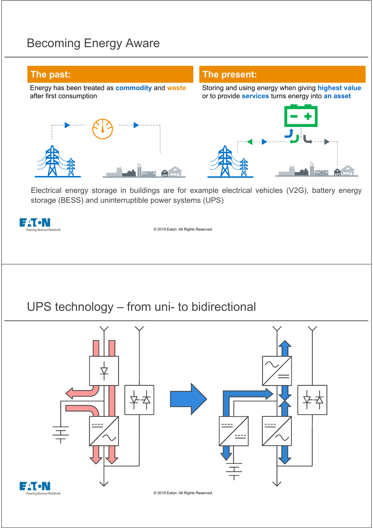# Becoming Energy Aware

#### **The past:**

Energy has been treated as **commodity** and **waste** after first consumption



Storing and using energy when giving **highest value**  or to provide **services** turns energy into **an asset**





Electrical energy storage in buildings are for example electrical vehicles (V2G), battery energy storage (BESS) and uninterruptible power systems (UPS)

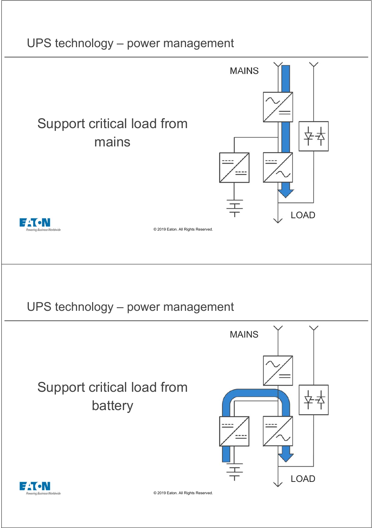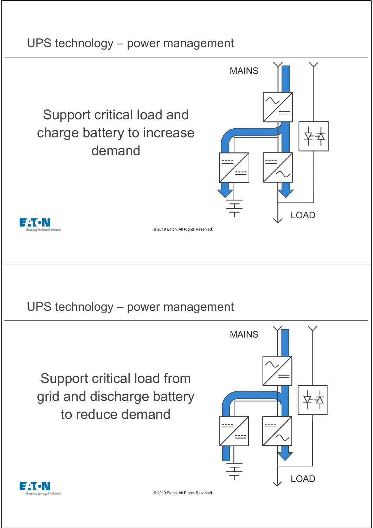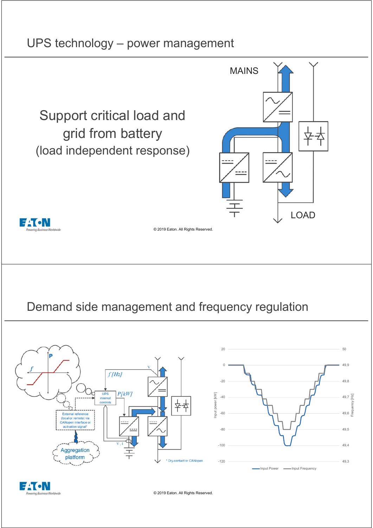### UPS technology – power management





© 2019 Eaton. All Rights Reserved.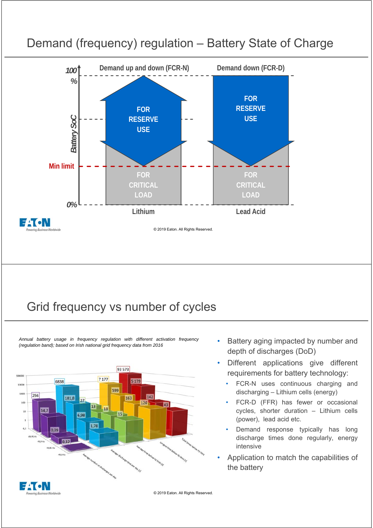

#### Demand (frequency) regulation – Battery State of Charge

# Grid frequency vs number of cycles

*Annual battery usage in frequency regulation with different activation frequency (regulation band); based on Irish national grid frequency data from 2016* • Battery aging impacted by number and



- depth of discharges (DoD)
- Different applications give different requirements for battery technology:
	- FCR-N uses continuous charging and discharging – Lithium cells (energy)
	- FCR-D (FFR) has fewer or occasional cycles, shorter duration – Lithium cells (power), lead acid etc.
	- Demand response typically has long discharge times done regularly, energy intensive
- Application to match the capabilities of the battery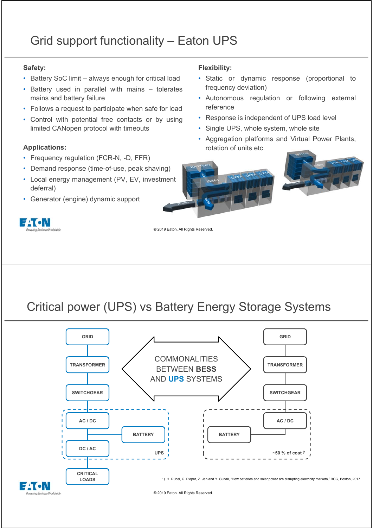#### **Safety:**

- Battery SoC limit always enough for critical load
- Battery used in parallel with mains tolerates mains and battery failure
- Follows a request to participate when safe for load
- Control with potential free contacts or by using limited CANopen protocol with timeouts

- Frequency regulation (FCR-N, -D, FFR)
- Demand response (time-of-use, peak shaving)
- Local energy management (PV, EV, investment deferral)
- Generator (engine) dynamic support

# E LT ON

#### **Flexibility:**

- Static or dynamic response (proportional to frequency deviation)
- Autonomous regulation or following external reference
- Response is independent of UPS load level
- Single UPS, whole system, whole site
- Aggregation platforms and Virtual Power Plants, **Applications: Applications:** *PPPLICALLE PPPLICALLE PPPLICALLE PPPLICALLE PPPLICALLE PPPLICALLE PPPLICALLE PPPLICALLE PPPLICALLE PPPLICALLE PPPLICALLE PPPLICALLE PPPLICAL*



© 2019 Eaton. All Rights Reserved.

# Critical power (UPS) vs Battery Energy Storage Systems

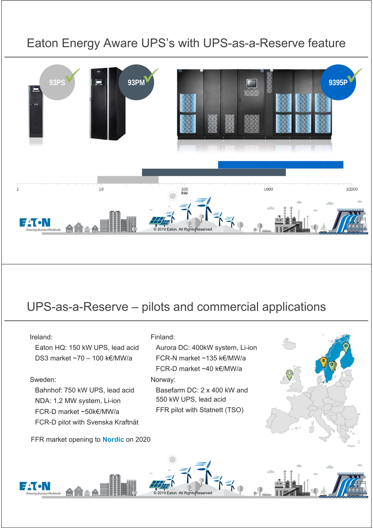# Eaton Energy Aware UPS's with UPS-as-a-Reserve feature



### UPS-as-a-Reserve – pilots and commercial applications

#### Ireland:

• Eaton HQ: 150 kW UPS, lead acid • DS3 market ~70 – 100 k€/MW/a

#### Sweden:

• Bahnhof: 750 kW UPS, lead acid • NDA: 1,2 MW system, Li-ion • FCR-D market ~50k€/MW/a • FCR-D pilot with Svenska Kraftnät

FFR market opening to **Nordic** on 2020

#### Finland:

• Aurora DC: 400kW system, Li-ion • FCR-N market ~135 k€/MW/a • FCR-D market ~40 k€/MW/a Norway: • Basefarm DC: 2 x 400 kW and

550 kW UPS, lead acid FFR pilot with Statnett (TSO)



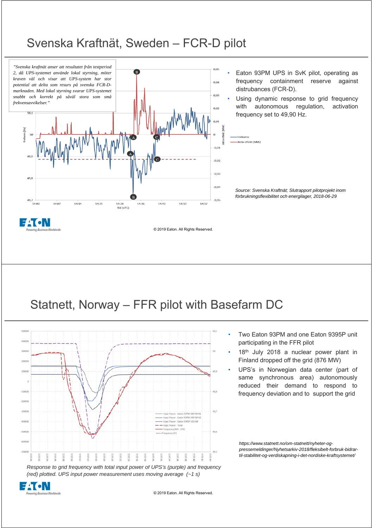### Svenska Kraftnät, Sweden – FCR-D pilot



### Statnett, Norway – FFR pilot with Basefarm DC



*Response to grid frequency with total input power of UPS's (purple) and frequency (red) plotted. UPS input power measurement uses moving average (~1 s)*



- Two Eaton 93PM and one Eaton 9395P unit participating in the FFR pilot
- 18<sup>th</sup> July 2018 a nuclear power plant in Finland dropped off the grid (876 MW)
- UPS's in Norwegian data center (part of same synchronous area) autonomously reduced their demand to respond to frequency deviation and to support the grid

*https://www.statnett.no/om-statnett/nyheter-ogpressemeldinger/Nyhetsarkiv-2018/fleksibelt-forbruk-bidrartil-stabilitet-og-verdiskapning-i-det-nordiske-kraftsystemet/*